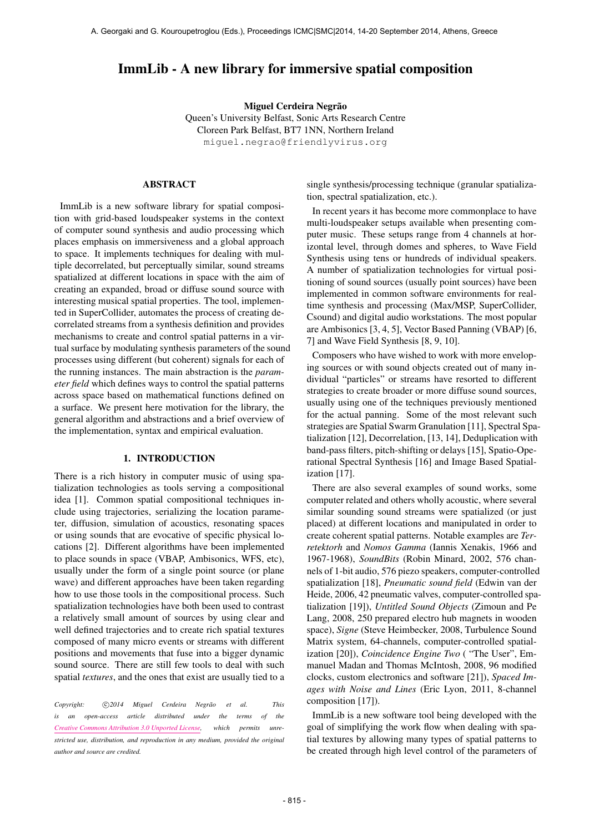# ImmLib - A new library for immersive spatial composition

Miguel Cerdeira Negrão

Queen's University Belfast, Sonic Arts Research Centre Cloreen Park Belfast, BT7 1NN, Northern Ireland [miguel.negrao@friendlyvirus.org](mailto:miguel.negrao@friendlyvirus.org)

## ABSTRACT

ImmLib is a new software library for spatial composition with grid-based loudspeaker systems in the context of computer sound synthesis and audio processing which places emphasis on immersiveness and a global approach to space. It implements techniques for dealing with multiple decorrelated, but perceptually similar, sound streams spatialized at different locations in space with the aim of creating an expanded, broad or diffuse sound source with interesting musical spatial properties. The tool, implemented in SuperCollider, automates the process of creating decorrelated streams from a synthesis definition and provides mechanisms to create and control spatial patterns in a virtual surface by modulating synthesis parameters of the sound processes using different (but coherent) signals for each of the running instances. The main abstraction is the *parameter field* which defines ways to control the spatial patterns across space based on mathematical functions defined on a surface. We present here motivation for the library, the general algorithm and abstractions and a brief overview of the implementation, syntax and empirical evaluation.

## 1. INTRODUCTION

There is a rich history in computer music of using spatialization technologies as tools serving a compositional idea [1]. Common spatial compositional techniques include using trajectories, serializing the location parameter, diffusion, simulation of acoustics, resonating spaces or using sounds that are evocative of specific physical locations [2]. Different algorithms have been implemented to place sounds in space (VBAP, Ambisonics, WFS, etc), usually under the form of a single point source (or plane wave) and different approaches have been taken regarding how to use those tools in the compositional process. Such spatialization technologies have both been used to contrast a relatively small amount of sources by using clear and well defined trajectories and to create rich spatial textures composed of many micro events or streams with different positions and movements that fuse into a bigger dynamic sound source. There are still few tools to deal with such spatial *textures*, and the ones that exist are usually tied to a

Copyright:  $\bigcirc$ 2014 Miguel Cerdeira Negrão et al. This *is an open-access article distributed under the terms of the [Creative Commons Attribution 3.0 Unported License,](http://creativecommons.org/licenses/by/3.0/) which permits unrestricted use, distribution, and reproduction in any medium, provided the original author and source are credited.*

single synthesis/processing technique (granular spatialization, spectral spatialization, etc.).

In recent years it has become more commonplace to have multi-loudspeaker setups available when presenting computer music. These setups range from 4 channels at horizontal level, through domes and spheres, to Wave Field Synthesis using tens or hundreds of individual speakers. A number of spatialization technologies for virtual positioning of sound sources (usually point sources) have been implemented in common software environments for realtime synthesis and processing (Max/MSP, SuperCollider, Csound) and digital audio workstations. The most popular are Ambisonics [3, 4, 5], Vector Based Panning (VBAP) [6, 7] and Wave Field Synthesis [8, 9, 10].

Composers who have wished to work with more enveloping sources or with sound objects created out of many individual "particles" or streams have resorted to different strategies to create broader or more diffuse sound sources, usually using one of the techniques previously mentioned for the actual panning. Some of the most relevant such strategies are Spatial Swarm Granulation [11], Spectral Spatialization [12], Decorrelation, [13, 14], Deduplication with band-pass filters, pitch-shifting or delays [15], Spatio-Operational Spectral Synthesis [16] and Image Based Spatialization [17].

There are also several examples of sound works, some computer related and others wholly acoustic, where several similar sounding sound streams were spatialized (or just placed) at different locations and manipulated in order to create coherent spatial patterns. Notable examples are *Terretektorh* and *Nomos Gamma* (Iannis Xenakis, 1966 and 1967-1968), *SoundBits* (Robin Minard, 2002, 576 channels of 1-bit audio, 576 piezo speakers, computer-controlled spatialization [18], *Pneumatic sound field* (Edwin van der Heide, 2006, 42 pneumatic valves, computer-controlled spatialization [19]), *Untitled Sound Objects* (Zimoun and Pe Lang, 2008, 250 prepared electro hub magnets in wooden space), *Signe* (Steve Heimbecker, 2008, Turbulence Sound Matrix system, 64-channels, computer-controlled spatialization [20]), *Coincidence Engine Two* ( "The User", Emmanuel Madan and Thomas McIntosh, 2008, 96 modified clocks, custom electronics and software [21]), *Spaced Images with Noise and Lines* (Eric Lyon, 2011, 8-channel composition [17]).

ImmLib is a new software tool being developed with the goal of simplifying the work flow when dealing with spatial textures by allowing many types of spatial patterns to be created through high level control of the parameters of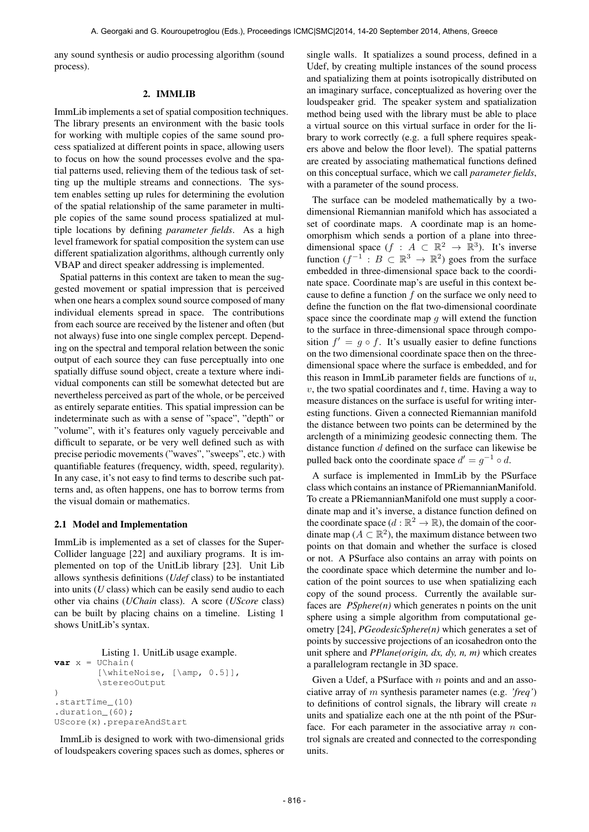any sound synthesis or audio processing algorithm (sound process).

#### 2. IMMLIB

ImmLib implements a set of spatial composition techniques. The library presents an environment with the basic tools for working with multiple copies of the same sound process spatialized at different points in space, allowing users to focus on how the sound processes evolve and the spatial patterns used, relieving them of the tedious task of setting up the multiple streams and connections. The system enables setting up rules for determining the evolution of the spatial relationship of the same parameter in multiple copies of the same sound process spatialized at multiple locations by defining *parameter fields*. As a high level framework for spatial composition the system can use different spatialization algorithms, although currently only VBAP and direct speaker addressing is implemented.

Spatial patterns in this context are taken to mean the suggested movement or spatial impression that is perceived when one hears a complex sound source composed of many individual elements spread in space. The contributions from each source are received by the listener and often (but not always) fuse into one single complex percept. Depending on the spectral and temporal relation between the sonic output of each source they can fuse perceptually into one spatially diffuse sound object, create a texture where individual components can still be somewhat detected but are nevertheless perceived as part of the whole, or be perceived as entirely separate entities. This spatial impression can be indeterminate such as with a sense of "space", "depth" or "volume", with it's features only vaguely perceivable and difficult to separate, or be very well defined such as with precise periodic movements ("waves", "sweeps", etc.) with quantifiable features (frequency, width, speed, regularity). In any case, it's not easy to find terms to describe such patterns and, as often happens, one has to borrow terms from the visual domain or mathematics.

## 2.1 Model and Implementation

ImmLib is implemented as a set of classes for the Super-Collider language [22] and auxiliary programs. It is implemented on top of the UnitLib library [23]. Unit Lib allows synthesis definitions (*Udef* class) to be instantiated into units (*U* class) which can be easily send audio to each other via chains (*UChain* class). A score (*UScore* class) can be built by placing chains on a timeline. Listing 1 shows UnitLib's syntax.

```
Listing 1. UnitLib usage example.
var x = UChain(
        [\whiteNoise, [\amp, 0.5]],
         \stereoOutput
)
.startTime_(10)
.duration_(60);
UScore(x).prepareAndStart
```
ImmLib is designed to work with two-dimensional grids of loudspeakers covering spaces such as domes, spheres or single walls. It spatializes a sound process, defined in a Udef, by creating multiple instances of the sound process and spatializing them at points isotropically distributed on an imaginary surface, conceptualized as hovering over the loudspeaker grid. The speaker system and spatialization method being used with the library must be able to place a virtual source on this virtual surface in order for the library to work correctly (e.g. a full sphere requires speakers above and below the floor level). The spatial patterns are created by associating mathematical functions defined on this conceptual surface, which we call *parameter fields*, with a parameter of the sound process.

The surface can be modeled mathematically by a twodimensional Riemannian manifold which has associated a set of coordinate maps. A coordinate map is an homeomorphism which sends a portion of a plane into threedimensional space  $(f : A \subset \mathbb{R}^2 \to \mathbb{R}^3)$ . It's inverse function  $(f^{-1}: B \subset \mathbb{R}^3 \to \mathbb{R}^2)$  goes from the surface embedded in three-dimensional space back to the coordinate space. Coordinate map's are useful in this context because to define a function  $f$  on the surface we only need to define the function on the flat two-dimensional coordinate space since the coordinate map  $g$  will extend the function to the surface in three-dimensional space through composition  $f' = g \circ f$ . It's usually easier to define functions on the two dimensional coordinate space then on the threedimensional space where the surface is embedded, and for this reason in ImmLib parameter fields are functions of  $u$ ,  $v$ , the two spatial coordinates and  $t$ , time. Having a way to measure distances on the surface is useful for writing interesting functions. Given a connected Riemannian manifold the distance between two points can be determined by the arclength of a minimizing geodesic connecting them. The distance function d defined on the surface can likewise be pulled back onto the coordinate space  $d' = g^{-1} \circ d$ .

A surface is implemented in ImmLib by the PSurface class which contains an instance of PRiemannianManifold. To create a PRiemannianManifold one must supply a coordinate map and it's inverse, a distance function defined on the coordinate space  $(d : \mathbb{R}^2 \to \mathbb{R})$ , the domain of the coordinate map ( $A \subset \mathbb{R}^2$ ), the maximum distance between two points on that domain and whether the surface is closed or not. A PSurface also contains an array with points on the coordinate space which determine the number and location of the point sources to use when spatializing each copy of the sound process. Currently the available surfaces are *PSphere(n)* which generates n points on the unit sphere using a simple algorithm from computational geometry [24], *PGeodesicSphere(n)* which generates a set of points by successive projections of an icosahedron onto the unit sphere and *PPlane(origin, dx, dy, n, m)* which creates a parallelogram rectangle in 3D space.

Given a Udef, a PSurface with  $n$  points and and an associative array of m synthesis parameter names (e.g. *'freq'*) to definitions of control signals, the library will create  $n$ units and spatialize each one at the nth point of the PSurface. For each parameter in the associative array  $n$  control signals are created and connected to the corresponding units.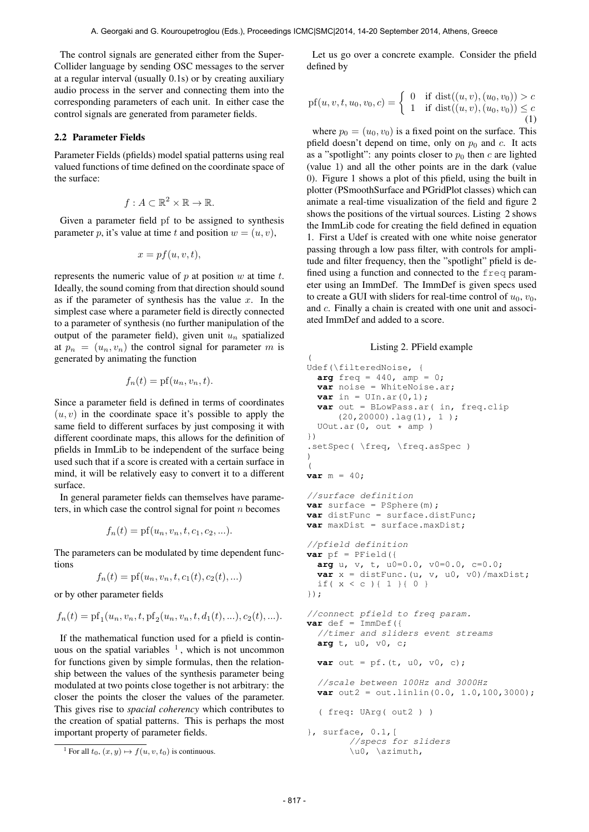(

The control signals are generated either from the Super-Collider language by sending OSC messages to the server at a regular interval (usually 0.1s) or by creating auxiliary audio process in the server and connecting them into the corresponding parameters of each unit. In either case the control signals are generated from parameter fields.

## 2.2 Parameter Fields

Parameter Fields (pfields) model spatial patterns using real valued functions of time defined on the coordinate space of the surface:

$$
f: A \subset \mathbb{R}^2 \times \mathbb{R} \to \mathbb{R}.
$$

Given a parameter field pf to be assigned to synthesis parameter p, it's value at time t and position  $w = (u, v)$ ,

$$
x = pf(u, v, t),
$$

represents the numeric value of  $p$  at position  $w$  at time  $t$ . Ideally, the sound coming from that direction should sound as if the parameter of synthesis has the value  $x$ . In the simplest case where a parameter field is directly connected to a parameter of synthesis (no further manipulation of the output of the parameter field), given unit  $u_n$  spatialized at  $p_n = (u_n, v_n)$  the control signal for parameter m is generated by animating the function

$$
f_n(t) = \text{pf}(u_n, v_n, t).
$$

Since a parameter field is defined in terms of coordinates  $(u, v)$  in the coordinate space it's possible to apply the same field to different surfaces by just composing it with different coordinate maps, this allows for the definition of pfields in ImmLib to be independent of the surface being used such that if a score is created with a certain surface in mind, it will be relatively easy to convert it to a different surface.

In general parameter fields can themselves have parameters, in which case the control signal for point  $n$  becomes

$$
f_n(t) = \text{pf}(u_n, v_n, t, c_1, c_2, \ldots).
$$

The parameters can be modulated by time dependent functions

$$
f_n(t) = \text{pf}(u_n, v_n, t, c_1(t), c_2(t), \ldots)
$$

or by other parameter fields

$$
f_n(t) = \text{pf}_1(u_n, v_n, t, \text{pf}_2(u_n, v_n, t, d_1(t), \ldots), c_2(t), \ldots).
$$

If the mathematical function used for a pfield is continuous on the spatial variables  $<sup>1</sup>$ , which is not uncommon</sup> for functions given by simple formulas, then the relationship between the values of the synthesis parameter being modulated at two points close together is not arbitrary: the closer the points the closer the values of the parameter. This gives rise to *spacial coherency* which contributes to the creation of spatial patterns. This is perhaps the most important property of parameter fields.

<sup>1</sup> For all  $t_0$ ,  $(x, y) \mapsto f(u, v, t_0)$  is continuous.

Let us go over a concrete example. Consider the pfield defined by

pf(u, v, t, u<sub>0</sub>, v<sub>0</sub>, c) = 
$$
\begin{cases} 0 & \text{if } \text{dist}((u, v), (u_0, v_0)) > c \\ 1 & \text{if } \text{dist}((u, v), (u_0, v_0)) \leq c \end{cases}
$$
 (1)

where  $p_0 = (u_0, v_0)$  is a fixed point on the surface. This pfield doesn't depend on time, only on  $p_0$  and c. It acts as a "spotlight": any points closer to  $p_0$  then c are lighted (value 1) and all the other points are in the dark (value 0). Figure 1 shows a plot of this pfield, using the built in plotter (PSmoothSurface and PGridPlot classes) which can animate a real-time visualization of the field and figure 2 shows the positions of the virtual sources. Listing 2 shows the ImmLib code for creating the field defined in equation 1. First a Udef is created with one white noise generator passing through a low pass filter, with controls for amplitude and filter frequency, then the "spotlight" pfield is defined using a function and connected to the freq parameter using an ImmDef. The ImmDef is given specs used to create a GUI with sliders for real-time control of  $u_0$ ,  $v_0$ , and c. Finally a chain is created with one unit and associated ImmDef and added to a score.

## Listing 2. PField example

```
Udef(\filteredNoise, {
 arg freq = 440, amp = 0;
 var noise = WhiteNoise.ar;
  var in = \text{UIn.ar}(0,1);
  var out = BLowPass.ar( in, freq.clip
      (20,20000).lag(1), 1 );
  UOut.ar(0, out * amp)
})
.setSpec( \freq, \freq.asSpec )
)
\left(var m = 40;
//surface definition
var surface = PSphere(m);
var distFunc = surface.distFunc;
var maxDist = surface.maxDist;
//pfield definition
var pf = PField({}arg u, v, t, u0=0.0, v0=0.0, c=0.0;
 var x = distFunc. (u, v, u0, v0) /maxDist;
  if( x < c ){ 1 }{ 0 }
});
//connect pfield to freq param.
var \def = \mp \text{ImmDef}//timer and sliders event streams
  arg t, u0, v0, c;
  var out = pf.(t, u0, v0, c);//scale between 100Hz and 3000Hz
 var out2 = out.linlin(0.0, 1.0, 100, 3000);
  ( freq: UArg( out2 ) )
}, surface, 0.1,[
        //specs for sliders
        \u0, \azimuth,
```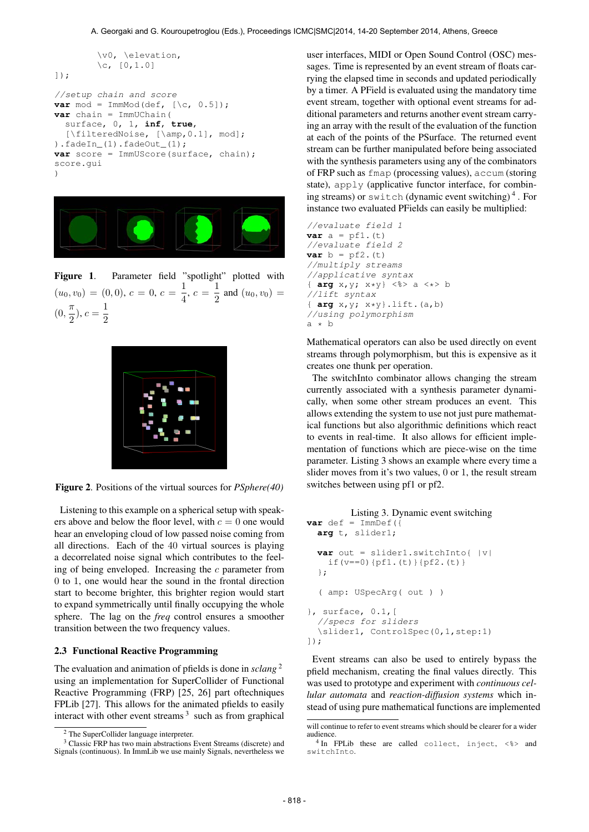```
\v0, \elevation,
        \c, [0, 1.0]]);
//setup chain and score
var mod = ImmMod(def, [\csc 0.5]);
var chain = ImmUChain(
  surface, 0, 1, inf, true,
  [\filteredNoise, [\amp,0.1], mod];
) .fadeIn(1) .fadeOut(1);var score = ImmUScore(surface, chain);
score.gui
)
```


Figure 1. Parameter field "spotlight" plotted with  $(u_0, v_0) = (0, 0), c = 0, c = \frac{1}{4}$  $\frac{1}{4}$ ,  $c = \frac{1}{2}$  $\frac{1}{2}$  and  $(u_0, v_0) =$  $(0, \frac{\pi}{2})$  $(\frac{\pi}{2}), c = \frac{1}{2}$ 2



Figure 2. Positions of the virtual sources for *PSphere(40)*

Listening to this example on a spherical setup with speakers above and below the floor level, with  $c = 0$  one would hear an enveloping cloud of low passed noise coming from all directions. Each of the 40 virtual sources is playing a decorrelated noise signal which contributes to the feeling of being enveloped. Increasing the  $c$  parameter from 0 to 1, one would hear the sound in the frontal direction start to become brighter, this brighter region would start to expand symmetrically until finally occupying the whole sphere. The lag on the *freq* control ensures a smoother transition between the two frequency values.

#### 2.3 Functional Reactive Programming

The evaluation and animation of pfields is done in *sclang* 2 using an implementation for SuperCollider of Functional Reactive Programming (FRP) [25, 26] part oftechniques FPLib [27]. This allows for the animated pfields to easily interact with other event streams  $3$  such as from graphical

user interfaces, MIDI or Open Sound Control (OSC) messages. Time is represented by an event stream of floats carrying the elapsed time in seconds and updated periodically by a timer. A PField is evaluated using the mandatory time event stream, together with optional event streams for additional parameters and returns another event stream carrying an array with the result of the evaluation of the function at each of the points of the PSurface. The returned event stream can be further manipulated before being associated with the synthesis parameters using any of the combinators of FRP such as fmap (processing values), accum (storing state), apply (applicative functor interface, for combining streams) or switch (dynamic event switching) 4 . For instance two evaluated PFields can easily be multiplied:

//evaluate field 1 **var**  $a = pf1.(t)$ //evaluate field 2 **var**  $b = pf2. (t)$ //multiply streams //applicative syntax { **arg** x,y; x\*y} <%> a <\*> b //lift syntax { **arg** x,y; x\*y}.lift.(a,b) //using polymorphism  $a * b$ 

Mathematical operators can also be used directly on event streams through polymorphism, but this is expensive as it creates one thunk per operation.

The switchInto combinator allows changing the stream currently associated with a synthesis parameter dynamically, when some other stream produces an event. This allows extending the system to use not just pure mathematical functions but also algorithmic definitions which react to events in real-time. It also allows for efficient implementation of functions which are piece-wise on the time parameter. Listing 3 shows an example where every time a slider moves from it's two values, 0 or 1, the result stream switches between using pf1 or pf2.

```
Listing 3. Dynamic event switching
var def = ImmDef ({
 arg t, slider1;
  var out = slider1.switchInto{ |v|
    if(v==0){pf1.(t)}{pf2.(t)}
  };
  ( amp: USpecArg( out ) )
}, surface, 0.1,[
  //specs for sliders
  \slider1, ControlSpec(0,1,step:1)
]);
```
Event streams can also be used to entirely bypass the pfield mechanism, creating the final values directly. This was used to prototype and experiment with *continuous cellular automata* and *reaction-diffusion systems* which instead of using pure mathematical functions are implemented

<sup>2</sup> The SuperCollider language interpreter.

<sup>&</sup>lt;sup>3</sup> Classic FRP has two main abstractions Event Streams (discrete) and Signals (continuous). In ImmLib we use mainly Signals, nevertheless we

will continue to refer to event streams which should be clearer for a wider audience.

<sup>4</sup> In FPLib these are called collect, inject, <%> and switchInto.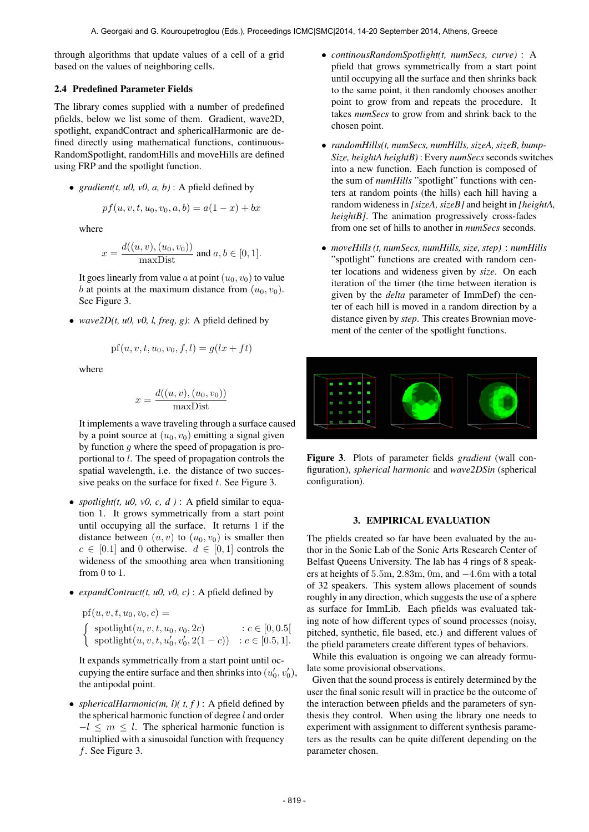through algorithms that update values of a cell of a grid based on the values of neighboring cells.

## 2.4 Predefined Parameter Fields

The library comes supplied with a number of predefined pfields, below we list some of them. Gradient, wave2D, spotlight, expandContract and sphericalHarmonic are defined directly using mathematical functions, continuous-RandomSpotlight, randomHills and moveHills are defined using FRP and the spotlight function.

• *gradient*(*t, u0, v0, a, b)* : A pfield defined by

$$
pf(u, v, t, u_0, v_0, a, b) = a(1 - x) + bx
$$

where

$$
x = \frac{d((u, v), (u_0, v_0))}{\text{maxDist}} \text{ and } a, b \in [0, 1].
$$

It goes linearly from value a at point  $(u_0, v_0)$  to value b at points at the maximum distance from  $(u_0, v_0)$ . See Figure 3.

• *wave2D(t, u0, v0, l, freq, g)*: A pfield defined by

$$
pf(u, v, t, u_0, v_0, f, l) = g(lx + ft)
$$

where

$$
x = \frac{d((u, v), (u_0, v_0))}{\text{maxDist}}
$$

It implements a wave traveling through a surface caused by a point source at  $(u_0, v_0)$  emitting a signal given by function  $g$  where the speed of propagation is proportional to l. The speed of propagation controls the spatial wavelength, i.e. the distance of two successive peaks on the surface for fixed  $t$ . See Figure 3.

- *spotlight(t, u0, v0, c, d)* : A pfield similar to equation 1. It grows symmetrically from a start point until occupying all the surface. It returns 1 if the distance between  $(u, v)$  to  $(u_0, v_0)$  is smaller then  $c \in [0.1]$  and 0 otherwise.  $d \in [0, 1]$  controls the wideness of the smoothing area when transitioning from 0 to 1.
- *expandContract(t, u0, v0, c)* : A pfield defined by

pf(*u*, *v*, *t*, *u*<sub>0</sub>, *v*<sub>0</sub>, *c*) =  
\n
$$
\begin{cases}\n\text{spotlight}(u, v, t, u_0, v_0, 2c) & : c \in [0, 0.5[ \\
\text{spotlight}(u, v, t, u'_0, v'_0, 2(1-c)) & : c \in [0.5, 1].\n\end{cases}
$$

It expands symmetrically from a start point until occupying the entire surface and then shrinks into  $(u'_0, v'_0)$ , the antipodal point.

• *sphericalHarmonic(m, l)(t, f)* : A pfield defined by the spherical harmonic function of degree  $l$  and order  $-l \leq m \leq l$ . The spherical harmonic function is multiplied with a sinusoidal function with frequency f. See Figure 3.

- *continousRandomSpotlight(t, numSecs, curve)* : A pfield that grows symmetrically from a start point until occupying all the surface and then shrinks back to the same point, it then randomly chooses another point to grow from and repeats the procedure. It takes *numSecs* to grow from and shrink back to the chosen point.
- *randomHills(t, numSecs, numHills, sizeA, sizeB, bump-Size, heightA heightB)* : Every *numSecs*seconds switches into a new function. Each function is composed of the sum of *numHills* "spotlight" functions with centers at random points (the hills) each hill having a random wideness in *[sizeA, sizeB]* and height in *[heightA, heightB]*. The animation progressively cross-fades from one set of hills to another in *numSecs* seconds.
- *moveHills (t, numSecs, numHills, size, step)* : *numHills* "spotlight" functions are created with random center locations and wideness given by *size*. On each iteration of the timer (the time between iteration is given by the *delta* parameter of ImmDef) the center of each hill is moved in a random direction by a distance given by *step*. This creates Brownian movement of the center of the spotlight functions.



Figure 3. Plots of parameter fields *gradient* (wall configuration), *spherical harmonic* and *wave2DSin* (spherical configuration).

## 3. EMPIRICAL EVALUATION

The pfields created so far have been evaluated by the author in the Sonic Lab of the Sonic Arts Research Center of Belfast Queens University. The lab has 4 rings of 8 speakers at heights of 5.5m, 2.83m, 0m, and −4.6m with a total of 32 speakers. This system allows placement of sounds roughly in any direction, which suggests the use of a sphere as surface for ImmLib. Each pfields was evaluated taking note of how different types of sound processes (noisy, pitched, synthetic, file based, etc.) and different values of the pfield parameters create different types of behaviors.

While this evaluation is ongoing we can already formulate some provisional observations.

Given that the sound process is entirely determined by the user the final sonic result will in practice be the outcome of the interaction between pfields and the parameters of synthesis they control. When using the library one needs to experiment with assignment to different synthesis parameters as the results can be quite different depending on the parameter chosen.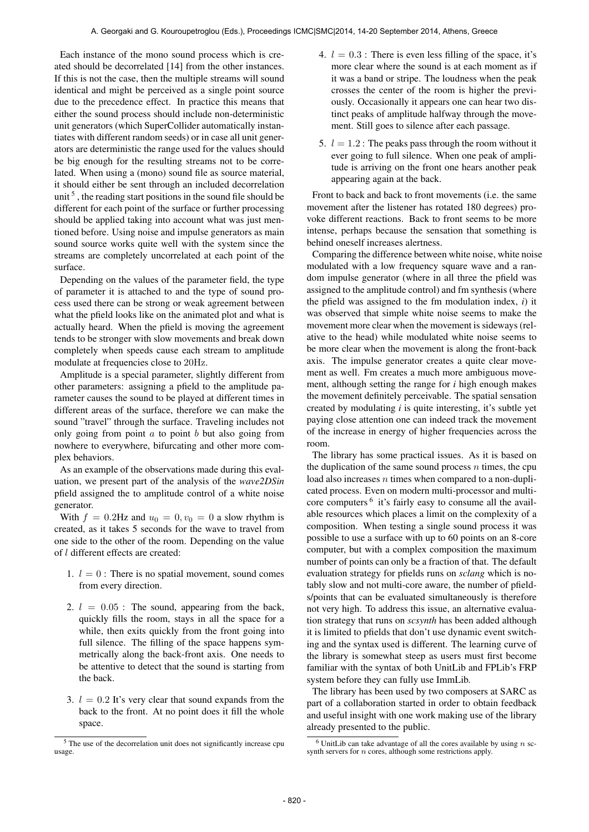Each instance of the mono sound process which is created should be decorrelated [14] from the other instances. If this is not the case, then the multiple streams will sound identical and might be perceived as a single point source due to the precedence effect. In practice this means that either the sound process should include non-deterministic unit generators (which SuperCollider automatically instantiates with different random seeds) or in case all unit generators are deterministic the range used for the values should be big enough for the resulting streams not to be correlated. When using a (mono) sound file as source material, it should either be sent through an included decorrelation unit<sup>5</sup>, the reading start positions in the sound file should be different for each point of the surface or further processing should be applied taking into account what was just mentioned before. Using noise and impulse generators as main sound source works quite well with the system since the streams are completely uncorrelated at each point of the surface.

Depending on the values of the parameter field, the type of parameter it is attached to and the type of sound process used there can be strong or weak agreement between what the pfield looks like on the animated plot and what is actually heard. When the pfield is moving the agreement tends to be stronger with slow movements and break down completely when speeds cause each stream to amplitude modulate at frequencies close to 20Hz.

Amplitude is a special parameter, slightly different from other parameters: assigning a pfield to the amplitude parameter causes the sound to be played at different times in different areas of the surface, therefore we can make the sound "travel" through the surface. Traveling includes not only going from point  $a$  to point  $b$  but also going from nowhere to everywhere, bifurcating and other more complex behaviors.

As an example of the observations made during this evaluation, we present part of the analysis of the *wave2DSin* pfield assigned the to amplitude control of a white noise generator.

With  $f = 0.2$ Hz and  $u_0 = 0$ ,  $v_0 = 0$  a slow rhythm is created, as it takes 5 seconds for the wave to travel from one side to the other of the room. Depending on the value of l different effects are created:

- 1.  $l = 0$ : There is no spatial movement, sound comes from every direction.
- 2.  $l = 0.05$ : The sound, appearing from the back, quickly fills the room, stays in all the space for a while, then exits quickly from the front going into full silence. The filling of the space happens symmetrically along the back-front axis. One needs to be attentive to detect that the sound is starting from the back.
- 3.  $l = 0.2$  It's very clear that sound expands from the back to the front. At no point does it fill the whole space.
- 4.  $l = 0.3$ : There is even less filling of the space, it's more clear where the sound is at each moment as if it was a band or stripe. The loudness when the peak crosses the center of the room is higher the previously. Occasionally it appears one can hear two distinct peaks of amplitude halfway through the movement. Still goes to silence after each passage.
- 5.  $l = 1.2$ : The peaks pass through the room without it ever going to full silence. When one peak of amplitude is arriving on the front one hears another peak appearing again at the back.

Front to back and back to front movements (i.e. the same movement after the listener has rotated 180 degrees) provoke different reactions. Back to front seems to be more intense, perhaps because the sensation that something is behind oneself increases alertness.

Comparing the difference between white noise, white noise modulated with a low frequency square wave and a random impulse generator (where in all three the pfield was assigned to the amplitude control) and fm synthesis (where the pfield was assigned to the fm modulation index, *i*) it was observed that simple white noise seems to make the movement more clear when the movement is sideways (relative to the head) while modulated white noise seems to be more clear when the movement is along the front-back axis. The impulse generator creates a quite clear movement as well. Fm creates a much more ambiguous movement, although setting the range for *i* high enough makes the movement definitely perceivable. The spatial sensation created by modulating *i* is quite interesting, it's subtle yet paying close attention one can indeed track the movement of the increase in energy of higher frequencies across the room.

The library has some practical issues. As it is based on the duplication of the same sound process  $n$  times, the cpu load also increases  $n$  times when compared to a non-duplicated process. Even on modern multi-processor and multicore computers<sup>6</sup> it's fairly easy to consume all the available resources which places a limit on the complexity of a composition. When testing a single sound process it was possible to use a surface with up to 60 points on an 8-core computer, but with a complex composition the maximum number of points can only be a fraction of that. The default evaluation strategy for pfields runs on *sclang* which is notably slow and not multi-core aware, the number of pfields/points that can be evaluated simultaneously is therefore not very high. To address this issue, an alternative evaluation strategy that runs on *scsynth* has been added although it is limited to pfields that don't use dynamic event switching and the syntax used is different. The learning curve of the library is somewhat steep as users must first become familiar with the syntax of both UnitLib and FPLib's FRP system before they can fully use ImmLib.

The library has been used by two composers at SARC as part of a collaboration started in order to obtain feedback and useful insight with one work making use of the library already presented to the public.

<sup>5</sup> The use of the decorrelation unit does not significantly increase cpu usage.

 $6$  UnitLib can take advantage of all the cores available by using n scsynth servers for  $n$  cores, although some restrictions apply.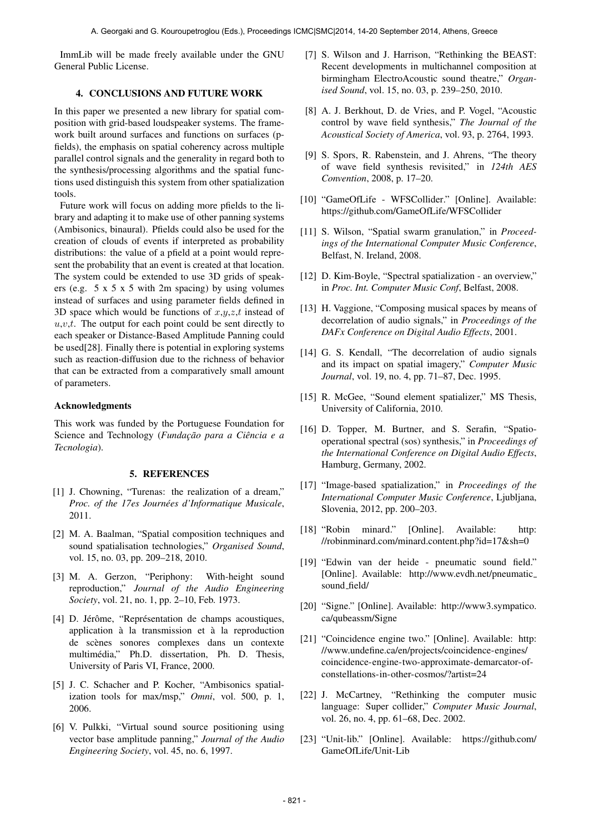ImmLib will be made freely available under the GNU General Public License.

## 4. CONCLUSIONS AND FUTURE WORK

In this paper we presented a new library for spatial composition with grid-based loudspeaker systems. The framework built around surfaces and functions on surfaces (pfields), the emphasis on spatial coherency across multiple parallel control signals and the generality in regard both to the synthesis/processing algorithms and the spatial functions used distinguish this system from other spatialization tools.

Future work will focus on adding more pfields to the library and adapting it to make use of other panning systems (Ambisonics, binaural). Pfields could also be used for the creation of clouds of events if interpreted as probability distributions: the value of a pfield at a point would represent the probability that an event is created at that location. The system could be extended to use 3D grids of speakers (e.g. 5 x 5 x 5 with 2m spacing) by using volumes instead of surfaces and using parameter fields defined in 3D space which would be functions of  $x,y,z,t$  instead of  $u, v, t$ . The output for each point could be sent directly to each speaker or Distance-Based Amplitude Panning could be used[28]. Finally there is potential in exploring systems such as reaction-diffusion due to the richness of behavior that can be extracted from a comparatively small amount of parameters.

## Acknowledgments

This work was funded by the Portuguese Foundation for Science and Technology (*Fundação para a Ciência e a Tecnologia*).

#### 5. REFERENCES

- [1] J. Chowning, "Turenas: the realization of a dream," *Proc. of the 17es Journées d'Informatique Musicale,* 2011.
- [2] M. A. Baalman, "Spatial composition techniques and sound spatialisation technologies," *Organised Sound*, vol. 15, no. 03, pp. 209–218, 2010.
- [3] M. A. Gerzon, "Periphony: With-height sound reproduction," *Journal of the Audio Engineering Society*, vol. 21, no. 1, pp. 2–10, Feb. 1973.
- [4] D. Jérôme, "Représentation de champs acoustiques, application à la transmission et à la reproduction de scenes sonores complexes dans un contexte ` multimédia," Ph.D. dissertation, Ph. D. Thesis, University of Paris VI, France, 2000.
- [5] J. C. Schacher and P. Kocher, "Ambisonics spatialization tools for max/msp," *Omni*, vol. 500, p. 1, 2006.
- [6] V. Pulkki, "Virtual sound source positioning using vector base amplitude panning," *Journal of the Audio Engineering Society*, vol. 45, no. 6, 1997.
- [7] S. Wilson and J. Harrison, "Rethinking the BEAST: Recent developments in multichannel composition at birmingham ElectroAcoustic sound theatre," *Organised Sound*, vol. 15, no. 03, p. 239–250, 2010.
- [8] A. J. Berkhout, D. de Vries, and P. Vogel, "Acoustic control by wave field synthesis," *The Journal of the Acoustical Society of America*, vol. 93, p. 2764, 1993.
- [9] S. Spors, R. Rabenstein, and J. Ahrens, "The theory of wave field synthesis revisited," in *124th AES Convention*, 2008, p. 17–20.
- [10] "GameOfLife WFSCollider." [Online]. Available: <https://github.com/GameOfLife/WFSCollider>
- [11] S. Wilson, "Spatial swarm granulation," in *Proceedings of the International Computer Music Conference*, Belfast, N. Ireland, 2008.
- [12] D. Kim-Boyle, "Spectral spatialization an overview," in *Proc. Int. Computer Music Conf*, Belfast, 2008.
- [13] H. Vaggione, "Composing musical spaces by means of decorrelation of audio signals," in *Proceedings of the DAFx Conference on Digital Audio Effects*, 2001.
- [14] G. S. Kendall, "The decorrelation of audio signals and its impact on spatial imagery," *Computer Music Journal*, vol. 19, no. 4, pp. 71–87, Dec. 1995.
- [15] R. McGee, "Sound element spatializer," MS Thesis, University of California, 2010.
- [16] D. Topper, M. Burtner, and S. Serafin, "Spatiooperational spectral (sos) synthesis," in *Proceedings of the International Conference on Digital Audio Effects*, Hamburg, Germany, 2002.
- [17] "Image-based spatialization," in *Proceedings of the International Computer Music Conference*, Ljubljana, Slovenia, 2012, pp. 200–203.
- [18] "Robin minard." [Online]. Available: [http:](http://robinminard.com/minard.content.php?id=17&sh=0) [//robinminard.com/minard.content.php?id=17&sh=0](http://robinminard.com/minard.content.php?id=17&sh=0)
- [19] "Edwin van der heide pneumatic sound field." [Online]. Available: [http://www.evdh.net/pneumatic](http://www.evdh.net/pneumatic_sound_field/) [sound](http://www.evdh.net/pneumatic_sound_field/) field/
- [20] "Signe." [Online]. Available: [http://www3.sympatico.](http://www3.sympatico.ca/qubeassm/Signe) [ca/qubeassm/Signe](http://www3.sympatico.ca/qubeassm/Signe)
- [21] "Coincidence engine two." [Online]. Available: [http:](http://www.undefine.ca/en/projects/coincidence-engines/coincidence-engine-two-approximate-demarcator-of-constellations-in-other-cosmos/?artist=24) [//www.undefine.ca/en/projects/coincidence-engines/](http://www.undefine.ca/en/projects/coincidence-engines/coincidence-engine-two-approximate-demarcator-of-constellations-in-other-cosmos/?artist=24) [coincidence-engine-two-approximate-demarcator-of](http://www.undefine.ca/en/projects/coincidence-engines/coincidence-engine-two-approximate-demarcator-of-constellations-in-other-cosmos/?artist=24)[constellations-in-other-cosmos/?artist=24](http://www.undefine.ca/en/projects/coincidence-engines/coincidence-engine-two-approximate-demarcator-of-constellations-in-other-cosmos/?artist=24)
- [22] J. McCartney, "Rethinking the computer music language: Super collider," *Computer Music Journal*, vol. 26, no. 4, pp. 61–68, Dec. 2002.
- [23] "Unit-lib." [Online]. Available: [https://github.com/](https://github.com/GameOfLife/Unit-Lib) [GameOfLife/Unit-Lib](https://github.com/GameOfLife/Unit-Lib)